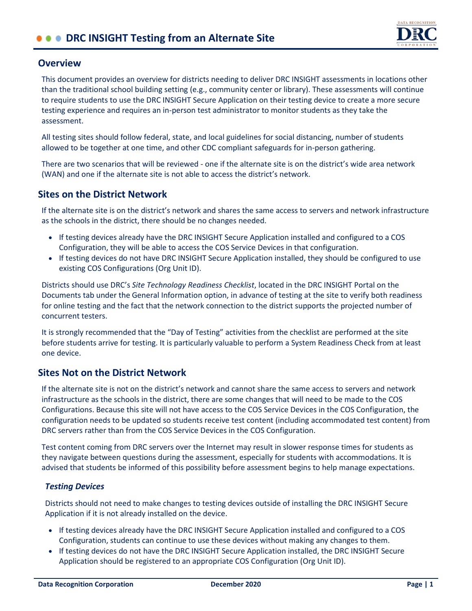

### **Overview**

This document provides an overview for districts needing to deliver DRC INSIGHT assessments in locations other than the traditional school building setting (e.g., community center or library). These assessments will continue to require students to use the DRC INSIGHT Secure Application on their testing device to create a more secure testing experience and requires an in-person test administrator to monitor students as they take the assessment.

All testing sites should follow federal, state, and local guidelines for social distancing, number of students allowed to be together at one time, and other CDC compliant safeguards for in-person gathering.

There are two scenarios that will be reviewed - one if the alternate site is on the district's wide area network (WAN) and one if the alternate site is not able to access the district's network.

## **Sites on the District Network**

If the alternate site is on the district's network and shares the same access to servers and network infrastructure as the schools in the district, there should be no changes needed.

- If testing devices already have the DRC INSIGHT Secure Application installed and configured to a COS Configuration, they will be able to access the COS Service Devices in that configuration.
- If testing devices do not have DRC INSIGHT Secure Application installed, they should be configured to use existing COS Configurations (Org Unit ID).

Districts should use DRC's *Site Technology Readiness Checklist*, located in the DRC INSIGHT Portal on the Documents tab under the General Information option, in advance of testing at the site to verify both readiness for online testing and the fact that the network connection to the district supports the projected number of concurrent testers.

It is strongly recommended that the "Day of Testing" activities from the checklist are performed at the site before students arrive for testing. It is particularly valuable to perform a System Readiness Check from at least one device.

# **Sites Not on the District Network**

If the alternate site is not on the district's network and cannot share the same access to servers and network infrastructure as the schools in the district, there are some changes that will need to be made to the COS Configurations. Because this site will not have access to the COS Service Devices in the COS Configuration, the configuration needs to be updated so students receive test content (including accommodated test content) from DRC servers rather than from the COS Service Devices in the COS Configuration.

Test content coming from DRC servers over the Internet may result in slower response times for students as they navigate between questions during the assessment, especially for students with accommodations. It is advised that students be informed of this possibility before assessment begins to help manage expectations.

#### *Testing Devices*

Districts should not need to make changes to testing devices outside of installing the DRC INSIGHT Secure Application if it is not already installed on the device.

- If testing devices already have the DRC INSIGHT Secure Application installed and configured to a COS Configuration, students can continue to use these devices without making any changes to them.
- If testing devices do not have the DRC INSIGHT Secure Application installed, the DRC INSIGHT Secure Application should be registered to an appropriate COS Configuration (Org Unit ID).